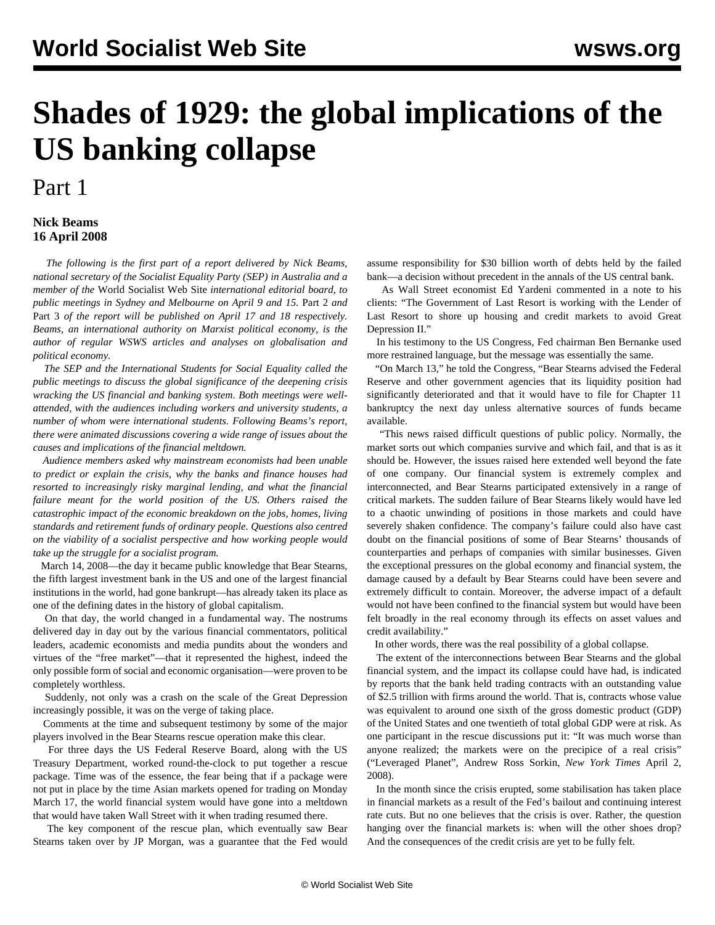## **Shades of 1929: the global implications of the US banking collapse**

## Part 1

## **Nick Beams 16 April 2008**

 *The following is the first part of a report delivered by Nick Beams, national secretary of the Socialist Equality Party (SEP) in Australia and a member of the* World Socialist Web Site *international editorial board, to public meetings in Sydney and Melbourne on April 9 and 15.* [Part 2](/en/articles/2008/04/nbe2-a17.html) *and* [Part 3](/en/articles/2008/04/nbe3-a18.html) *of the report will be published on April 17 and 18 respectively. Beams, an international authority on Marxist political economy, is the author of regular WSWS articles and analyses on globalisation and political economy.*

 *The SEP and the International Students for Social Equality called the public meetings to discuss the global significance of the deepening crisis wracking the US financial and banking system. Both meetings were wellattended, with the audiences including workers and university students, a number of whom were international students. Following Beams's report, there were animated discussions covering a wide range of issues about the causes and implications of the financial meltdown.*

 *Audience members asked why mainstream economists had been unable to predict or explain the crisis, why the banks and finance houses had resorted to increasingly risky marginal lending, and what the financial failure meant for the world position of the US. Others raised the catastrophic impact of the economic breakdown on the jobs, homes, living standards and retirement funds of ordinary people. Questions also centred on the viability of a socialist perspective and how working people would take up the struggle for a socialist program.*

 March 14, 2008—the day it became public knowledge that Bear Stearns, the fifth largest investment bank in the US and one of the largest financial institutions in the world, had gone bankrupt—has already taken its place as one of the defining dates in the history of global capitalism.

 On that day, the world changed in a fundamental way. The nostrums delivered day in day out by the various financial commentators, political leaders, academic economists and media pundits about the wonders and virtues of the "free market"—that it represented the highest, indeed the only possible form of social and economic organisation—were proven to be completely worthless.

 Suddenly, not only was a crash on the scale of the Great Depression increasingly possible, it was on the verge of taking place.

 Comments at the time and subsequent testimony by some of the major players involved in the Bear Stearns rescue operation make this clear.

 For three days the US Federal Reserve Board, along with the US Treasury Department, worked round-the-clock to put together a rescue package. Time was of the essence, the fear being that if a package were not put in place by the time Asian markets opened for trading on Monday March 17, the world financial system would have gone into a meltdown that would have taken Wall Street with it when trading resumed there.

 The key component of the rescue plan, which eventually saw Bear Stearns taken over by JP Morgan, was a guarantee that the Fed would

assume responsibility for \$30 billion worth of debts held by the failed bank—a decision without precedent in the annals of the US central bank.

 As Wall Street economist Ed Yardeni commented in a note to his clients: "The Government of Last Resort is working with the Lender of Last Resort to shore up housing and credit markets to avoid Great Depression II."

 In his testimony to the US Congress, Fed chairman Ben Bernanke used more restrained language, but the message was essentially the same.

 "On March 13," he told the Congress, "Bear Stearns advised the Federal Reserve and other government agencies that its liquidity position had significantly deteriorated and that it would have to file for Chapter 11 bankruptcy the next day unless alternative sources of funds became available.

 "This news raised difficult questions of public policy. Normally, the market sorts out which companies survive and which fail, and that is as it should be. However, the issues raised here extended well beyond the fate of one company. Our financial system is extremely complex and interconnected, and Bear Stearns participated extensively in a range of critical markets. The sudden failure of Bear Stearns likely would have led to a chaotic unwinding of positions in those markets and could have severely shaken confidence. The company's failure could also have cast doubt on the financial positions of some of Bear Stearns' thousands of counterparties and perhaps of companies with similar businesses. Given the exceptional pressures on the global economy and financial system, the damage caused by a default by Bear Stearns could have been severe and extremely difficult to contain. Moreover, the adverse impact of a default would not have been confined to the financial system but would have been felt broadly in the real economy through its effects on asset values and credit availability."

In other words, there was the real possibility of a global collapse.

 The extent of the interconnections between Bear Stearns and the global financial system, and the impact its collapse could have had, is indicated by reports that the bank held trading contracts with an outstanding value of \$2.5 trillion with firms around the world. That is, contracts whose value was equivalent to around one sixth of the gross domestic product (GDP) of the United States and one twentieth of total global GDP were at risk. As one participant in the rescue discussions put it: "It was much worse than anyone realized; the markets were on the precipice of a real crisis" ("Leveraged Planet", Andrew Ross Sorkin, *New York Times* April 2, 2008).

 In the month since the crisis erupted, some stabilisation has taken place in financial markets as a result of the Fed's bailout and continuing interest rate cuts. But no one believes that the crisis is over. Rather, the question hanging over the financial markets is: when will the other shoes drop? And the consequences of the credit crisis are yet to be fully felt.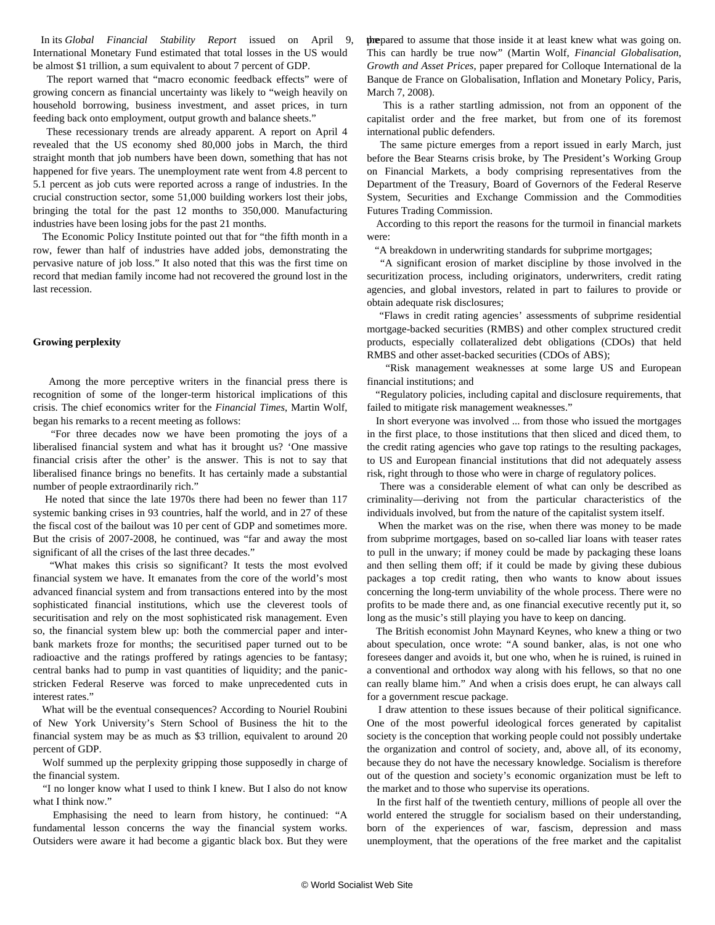In its *Global Financial Stability Report* issued on April 9, International Monetary Fund estimated that total losses in the US would be almost \$1 trillion, a sum equivalent to about 7 percent of GDP.

 The report warned that "macro economic feedback effects" were of growing concern as financial uncertainty was likely to "weigh heavily on household borrowing, business investment, and asset prices, in turn feeding back onto employment, output growth and balance sheets."

 These recessionary trends are already apparent. A report on April 4 revealed that the US economy shed 80,000 jobs in March, the third straight month that job numbers have been down, something that has not happened for five years. The unemployment rate went from 4.8 percent to 5.1 percent as job cuts were reported across a range of industries. In the crucial construction sector, some 51,000 building workers lost their jobs, bringing the total for the past 12 months to 350,000. Manufacturing industries have been losing jobs for the past 21 months.

 The Economic Policy Institute pointed out that for "the fifth month in a row, fewer than half of industries have added jobs, demonstrating the pervasive nature of job loss." It also noted that this was the first time on record that median family income had not recovered the ground lost in the last recession.

## **Growing perplexity**

 Among the more perceptive writers in the financial press there is recognition of some of the longer-term historical implications of this crisis. The chief economics writer for the *Financial Times*, Martin Wolf, began his remarks to a recent meeting as follows:

 "For three decades now we have been promoting the joys of a liberalised financial system and what has it brought us? 'One massive financial crisis after the other' is the answer. This is not to say that liberalised finance brings no benefits. It has certainly made a substantial number of people extraordinarily rich."

 He noted that since the late 1970s there had been no fewer than 117 systemic banking crises in 93 countries, half the world, and in 27 of these the fiscal cost of the bailout was 10 per cent of GDP and sometimes more. But the crisis of 2007-2008, he continued, was "far and away the most significant of all the crises of the last three decades."

 "What makes this crisis so significant? It tests the most evolved financial system we have. It emanates from the core of the world's most advanced financial system and from transactions entered into by the most sophisticated financial institutions, which use the cleverest tools of securitisation and rely on the most sophisticated risk management. Even so, the financial system blew up: both the commercial paper and interbank markets froze for months; the securitised paper turned out to be radioactive and the ratings proffered by ratings agencies to be fantasy; central banks had to pump in vast quantities of liquidity; and the panicstricken Federal Reserve was forced to make unprecedented cuts in interest rates."

 What will be the eventual consequences? According to Nouriel Roubini of New York University's Stern School of Business the hit to the financial system may be as much as \$3 trillion, equivalent to around 20 percent of GDP.

 Wolf summed up the perplexity gripping those supposedly in charge of the financial system.

 "I no longer know what I used to think I knew. But I also do not know what I think now."

 Emphasising the need to learn from history, he continued: "A fundamental lesson concerns the way the financial system works. Outsiders were aware it had become a gigantic black box. But they were prepared to assume that those inside it at least knew what was going on. This can hardly be true now" (Martin Wolf, *Financial Globalisation, Growth and Asset Prices*, paper prepared for Colloque International de la Banque de France on Globalisation, Inflation and Monetary Policy, Paris, March 7, 2008).

 This is a rather startling admission, not from an opponent of the capitalist order and the free market, but from one of its foremost international public defenders.

 The same picture emerges from a report issued in early March, just before the Bear Stearns crisis broke, by The President's Working Group on Financial Markets, a body comprising representatives from the Department of the Treasury, Board of Governors of the Federal Reserve System, Securities and Exchange Commission and the Commodities Futures Trading Commission.

 According to this report the reasons for the turmoil in financial markets were:

"A breakdown in underwriting standards for subprime mortgages;

 "A significant erosion of market discipline by those involved in the securitization process, including originators, underwriters, credit rating agencies, and global investors, related in part to failures to provide or obtain adequate risk disclosures;

 "Flaws in credit rating agencies' assessments of subprime residential mortgage-backed securities (RMBS) and other complex structured credit products, especially collateralized debt obligations (CDOs) that held RMBS and other asset-backed securities (CDOs of ABS);

 "Risk management weaknesses at some large US and European financial institutions; and

 "Regulatory policies, including capital and disclosure requirements, that failed to mitigate risk management weaknesses."

 In short everyone was involved ... from those who issued the mortgages in the first place, to those institutions that then sliced and diced them, to the credit rating agencies who gave top ratings to the resulting packages, to US and European financial institutions that did not adequately assess risk, right through to those who were in charge of regulatory polices.

 There was a considerable element of what can only be described as criminality—deriving not from the particular characteristics of the individuals involved, but from the nature of the capitalist system itself.

 When the market was on the rise, when there was money to be made from subprime mortgages, based on so-called liar loans with teaser rates to pull in the unwary; if money could be made by packaging these loans and then selling them off; if it could be made by giving these dubious packages a top credit rating, then who wants to know about issues concerning the long-term unviability of the whole process. There were no profits to be made there and, as one financial executive recently put it, so long as the music's still playing you have to keep on dancing.

 The British economist John Maynard Keynes, who knew a thing or two about speculation, once wrote: "A sound banker, alas, is not one who foresees danger and avoids it, but one who, when he is ruined, is ruined in a conventional and orthodox way along with his fellows, so that no one can really blame him." And when a crisis does erupt, he can always call for a government rescue package.

 I draw attention to these issues because of their political significance. One of the most powerful ideological forces generated by capitalist society is the conception that working people could not possibly undertake the organization and control of society, and, above all, of its economy, because they do not have the necessary knowledge. Socialism is therefore out of the question and society's economic organization must be left to the market and to those who supervise its operations.

 In the first half of the twentieth century, millions of people all over the world entered the struggle for socialism based on their understanding, born of the experiences of war, fascism, depression and mass unemployment, that the operations of the free market and the capitalist